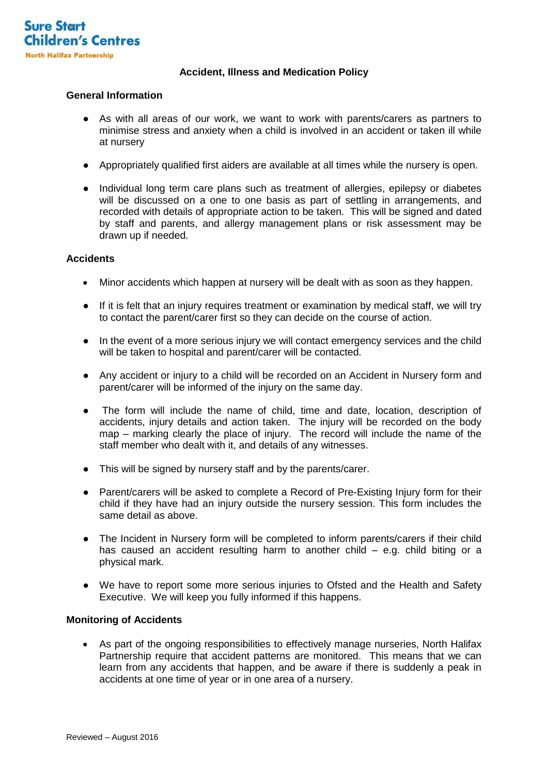

## **Accident, Illness and Medication Policy**

# **General Information**

- As with all areas of our work, we want to work with parents/carers as partners to minimise stress and anxiety when a child is involved in an accident or taken ill while at nursery
- Appropriately qualified first aiders are available at all times while the nursery is open.
- Individual long term care plans such as treatment of allergies, epilepsy or diabetes will be discussed on a one to one basis as part of settling in arrangements, and recorded with details of appropriate action to be taken. This will be signed and dated by staff and parents, and allergy management plans or risk assessment may be drawn up if needed.

### **Accidents**

- Minor accidents which happen at nursery will be dealt with as soon as they happen.
- If it is felt that an injury requires treatment or examination by medical staff, we will try to contact the parent/carer first so they can decide on the course of action.
- In the event of a more serious injury we will contact emergency services and the child will be taken to hospital and parent/carer will be contacted.
- Any accident or injury to a child will be recorded on an Accident in Nursery form and parent/carer will be informed of the injury on the same day.
- The form will include the name of child, time and date, location, description of accidents, injury details and action taken. The injury will be recorded on the body map – marking clearly the place of injury. The record will include the name of the staff member who dealt with it, and details of any witnesses.
- This will be signed by nursery staff and by the parents/carer.
- Parent/carers will be asked to complete a Record of Pre-Existing Injury form for their child if they have had an injury outside the nursery session. This form includes the same detail as above.
- The Incident in Nursery form will be completed to inform parents/carers if their child has caused an accident resulting harm to another child – e.g. child biting or a physical mark.
- We have to report some more serious injuries to Ofsted and the Health and Safety Executive. We will keep you fully informed if this happens.

### **Monitoring of Accidents**

 As part of the ongoing responsibilities to effectively manage nurseries, North Halifax Partnership require that accident patterns are monitored. This means that we can learn from any accidents that happen, and be aware if there is suddenly a peak in accidents at one time of year or in one area of a nursery.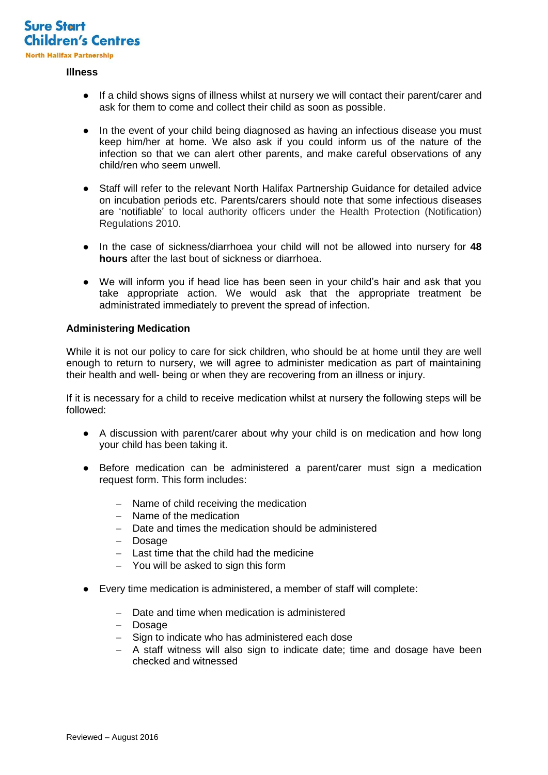

#### **Illness**

- If a child shows signs of illness whilst at nursery we will contact their parent/carer and ask for them to come and collect their child as soon as possible.
- In the event of your child being diagnosed as having an infectious disease you must keep him/her at home. We also ask if you could inform us of the nature of the infection so that we can alert other parents, and make careful observations of any child/ren who seem unwell.
- Staff will refer to the relevant North Halifax Partnership Guidance for detailed advice on incubation periods etc. Parents/carers should note that some infectious diseases are 'notifiable' to local authority officers under the Health Protection (Notification) Regulations 2010.
- In the case of sickness/diarrhoea your child will not be allowed into nursery for **48 hours** after the last bout of sickness or diarrhoea.
- We will inform you if head lice has been seen in your child's hair and ask that you take appropriate action. We would ask that the appropriate treatment be administrated immediately to prevent the spread of infection.

### **Administering Medication**

While it is not our policy to care for sick children, who should be at home until they are well enough to return to nursery, we will agree to administer medication as part of maintaining their health and well- being or when they are recovering from an illness or injury.

If it is necessary for a child to receive medication whilst at nursery the following steps will be followed:

- A discussion with parent/carer about why your child is on medication and how long your child has been taking it.
- Before medication can be administered a parent/carer must sign a medication request form. This form includes:
	- Name of child receiving the medication
	- Name of the medication
	- Date and times the medication should be administered
	- Dosage
	- Last time that the child had the medicine
	- You will be asked to sign this form
- Every time medication is administered, a member of staff will complete:
	- Date and time when medication is administered
	- Dosage
	- Sign to indicate who has administered each dose
	- A staff witness will also sign to indicate date; time and dosage have been checked and witnessed